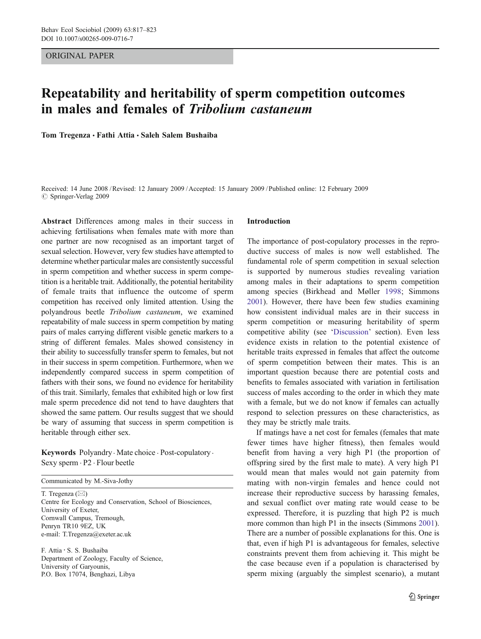#### ORIGINAL PAPER

# Repeatability and heritability of sperm competition outcomes in males and females of Tribolium castaneum

Tom Tregenza · Fathi Attia · Saleh Salem Bushaiba

Received: 14 June 2008 /Revised: 12 January 2009 /Accepted: 15 January 2009 / Published online: 12 February 2009  $\circ$  Springer-Verlag 2009

Abstract Differences among males in their success in achieving fertilisations when females mate with more than one partner are now recognised as an important target of sexual selection. However, very few studies have attempted to determine whether particular males are consistently successful in sperm competition and whether success in sperm competition is a heritable trait. Additionally, the potential heritability of female traits that influence the outcome of sperm competition has received only limited attention. Using the polyandrous beetle Tribolium castaneum, we examined repeatability of male success in sperm competition by mating pairs of males carrying different visible genetic markers to a string of different females. Males showed consistency in their ability to successfully transfer sperm to females, but not in their success in sperm competition. Furthermore, when we independently compared success in sperm competition of fathers with their sons, we found no evidence for heritability of this trait. Similarly, females that exhibited high or low first male sperm precedence did not tend to have daughters that showed the same pattern. Our results suggest that we should be wary of assuming that success in sperm competition is heritable through either sex.

Keywords Polyandry . Mate choice . Post-copulatory . Sexy sperm . P2 . Flour beetle

Communicated by M.-Siva-Jothy

T. Tregenza (*\**) Centre for Ecology and Conservation, School of Biosciences, University of Exeter, Cornwall Campus, Tremough, Penryn TR10 9EZ, UK e-mail: T.Tregenza@exeter.ac.uk

F. Attia *:* S. S. Bushaiba Department of Zoology, Faculty of Science, University of Garyounis, P.O. Box 17074, Benghazi, Libya

#### Introduction

The importance of post-copulatory processes in the reproductive success of males is now well established. The fundamental role of sperm competition in sexual selection is supported by numerous studies revealing variation among males in their adaptations to sperm competition among species (Birkhead and Møller [1998](#page-6-0); Simmons [2001](#page-6-0)). However, there have been few studies examining how consistent individual males are in their success in sperm competition or measuring heritability of sperm competitive ability (see '[Discussion](#page-4-0)' section). Even less evidence exists in relation to the potential existence of heritable traits expressed in females that affect the outcome of sperm competition between their mates. This is an important question because there are potential costs and benefits to females associated with variation in fertilisation success of males according to the order in which they mate with a female, but we do not know if females can actually respond to selection pressures on these characteristics, as they may be strictly male traits.

If matings have a net cost for females (females that mate fewer times have higher fitness), then females would benefit from having a very high P1 (the proportion of offspring sired by the first male to mate). A very high P1 would mean that males would not gain paternity from mating with non-virgin females and hence could not increase their reproductive success by harassing females, and sexual conflict over mating rate would cease to be expressed. Therefore, it is puzzling that high P2 is much more common than high P1 in the insects (Simmons [2001\)](#page-6-0). There are a number of possible explanations for this. One is that, even if high P1 is advantageous for females, selective constraints prevent them from achieving it. This might be the case because even if a population is characterised by sperm mixing (arguably the simplest scenario), a mutant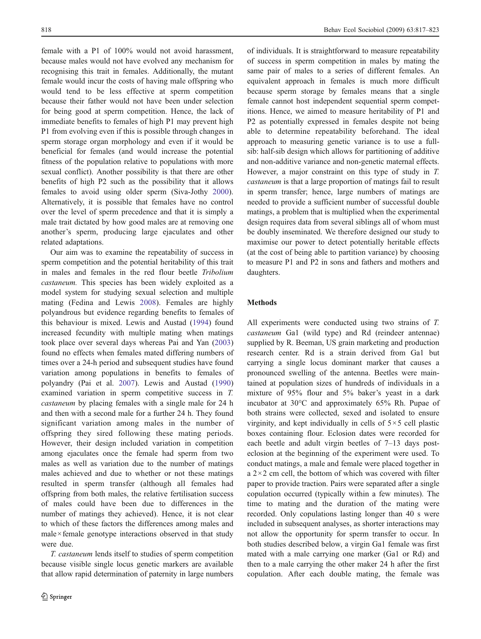<span id="page-1-0"></span>female with a P1 of 100% would not avoid harassment, because males would not have evolved any mechanism for recognising this trait in females. Additionally, the mutant female would incur the costs of having male offspring who would tend to be less effective at sperm competition because their father would not have been under selection for being good at sperm competition. Hence, the lack of immediate benefits to females of high P1 may prevent high P1 from evolving even if this is possible through changes in sperm storage organ morphology and even if it would be beneficial for females (and would increase the potential fitness of the population relative to populations with more sexual conflict). Another possibility is that there are other benefits of high P2 such as the possibility that it allows females to avoid using older sperm (Siva-Jothy [2000](#page-6-0)). Alternatively, it is possible that females have no control over the level of sperm precedence and that it is simply a male trait dictated by how good males are at removing one another's sperm, producing large ejaculates and other related adaptations.

Our aim was to examine the repeatability of success in sperm competition and the potential heritability of this trait in males and females in the red flour beetle Tribolium castaneum. This species has been widely exploited as a model system for studying sexual selection and multiple mating (Fedina and Lewis [2008](#page-6-0)). Females are highly polyandrous but evidence regarding benefits to females of this behaviour is mixed. Lewis and Austad [\(1994](#page-6-0)) found increased fecundity with multiple mating when matings took place over several days whereas Pai and Yan ([2003\)](#page-6-0) found no effects when females mated differing numbers of times over a 24-h period and subsequent studies have found variation among populations in benefits to females of polyandry (Pai et al. [2007](#page-6-0)). Lewis and Austad ([1990\)](#page-6-0) examined variation in sperm competitive success in T. castaneum by placing females with a single male for 24 h and then with a second male for a further 24 h. They found significant variation among males in the number of offspring they sired following these mating periods. However, their design included variation in competition among ejaculates once the female had sperm from two males as well as variation due to the number of matings males achieved and due to whether or not these matings resulted in sperm transfer (although all females had offspring from both males, the relative fertilisation success of males could have been due to differences in the number of matings they achieved). Hence, it is not clear to which of these factors the differences among males and male× female genotype interactions observed in that study were due.

T. castaneum lends itself to studies of sperm competition because visible single locus genetic markers are available that allow rapid determination of paternity in large numbers of individuals. It is straightforward to measure repeatability of success in sperm competition in males by mating the same pair of males to a series of different females. An equivalent approach in females is much more difficult because sperm storage by females means that a single female cannot host independent sequential sperm competitions. Hence, we aimed to measure heritability of P1 and P2 as potentially expressed in females despite not being able to determine repeatability beforehand. The ideal approach to measuring genetic variance is to use a fullsib: half-sib design which allows for partitioning of additive and non-additive variance and non-genetic maternal effects. However, a major constraint on this type of study in T. castaneum is that a large proportion of matings fail to result in sperm transfer; hence, large numbers of matings are needed to provide a sufficient number of successful double matings, a problem that is multiplied when the experimental design requires data from several siblings all of whom must be doubly inseminated. We therefore designed our study to maximise our power to detect potentially heritable effects (at the cost of being able to partition variance) by choosing to measure P1 and P2 in sons and fathers and mothers and daughters.

# Methods

All experiments were conducted using two strains of T. castaneum Ga1 (wild type) and Rd (reindeer antennae) supplied by R. Beeman, US grain marketing and production research center. Rd is a strain derived from Ga1 but carrying a single locus dominant marker that causes a pronounced swelling of the antenna. Beetles were maintained at population sizes of hundreds of individuals in a mixture of 95% flour and 5% baker's yeast in a dark incubator at 30°C and approximately 65% Rh. Pupae of both strains were collected, sexed and isolated to ensure virginity, and kept individually in cells of  $5 \times 5$  cell plastic boxes containing flour. Eclosion dates were recorded for each beetle and adult virgin beetles of 7–13 days posteclosion at the beginning of the experiment were used. To conduct matings, a male and female were placed together in a  $2 \times 2$  cm cell, the bottom of which was covered with filter paper to provide traction. Pairs were separated after a single copulation occurred (typically within a few minutes). The time to mating and the duration of the mating were recorded. Only copulations lasting longer than 40 s were included in subsequent analyses, as shorter interactions may not allow the opportunity for sperm transfer to occur. In both studies described below, a virgin Ga1 female was first mated with a male carrying one marker (Ga1 or Rd) and then to a male carrying the other maker 24 h after the first copulation. After each double mating, the female was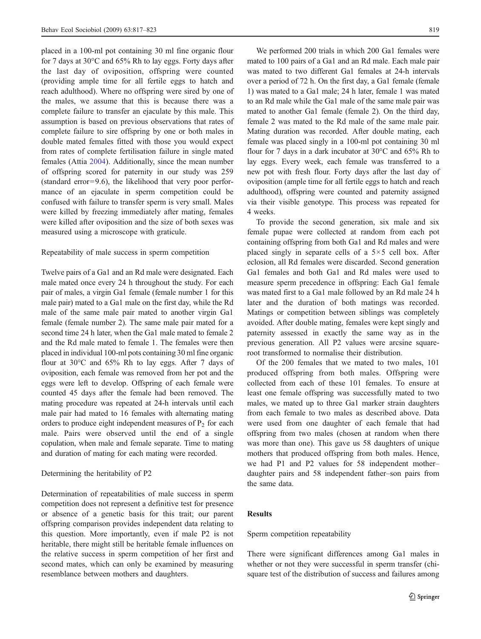placed in a 100-ml pot containing 30 ml fine organic flour for 7 days at 30°C and 65% Rh to lay eggs. Forty days after the last day of oviposition, offspring were counted (providing ample time for all fertile eggs to hatch and reach adulthood). Where no offspring were sired by one of the males, we assume that this is because there was a complete failure to transfer an ejaculate by this male. This assumption is based on previous observations that rates of complete failure to sire offspring by one or both males in double mated females fitted with those you would expect from rates of complete fertilisation failure in single mated females (Attia [2004](#page-6-0)). Additionally, since the mean number of offspring scored for paternity in our study was 259 (standard error=9.6), the likelihood that very poor performance of an ejaculate in sperm competition could be confused with failure to transfer sperm is very small. Males were killed by freezing immediately after mating, females were killed after oviposition and the size of both sexes was measured using a microscope with graticule.

#### Repeatability of male success in sperm competition

Twelve pairs of a Ga1 and an Rd male were designated. Each male mated once every 24 h throughout the study. For each pair of males, a virgin Ga1 female (female number 1 for this male pair) mated to a Ga1 male on the first day, while the Rd male of the same male pair mated to another virgin Ga1 female (female number 2). The same male pair mated for a second time 24 h later, when the Ga1 male mated to female 2 and the Rd male mated to female 1. The females were then placed in individual 100-ml pots containing 30 ml fine organic flour at 30°C and 65% Rh to lay eggs. After 7 days of oviposition, each female was removed from her pot and the eggs were left to develop. Offspring of each female were counted 45 days after the female had been removed. The mating procedure was repeated at 24-h intervals until each male pair had mated to 16 females with alternating mating orders to produce eight independent measures of  $P_2$  for each male. Pairs were observed until the end of a single copulation, when male and female separate. Time to mating and duration of mating for each mating were recorded.

#### Determining the heritability of P2

Determination of repeatabilities of male success in sperm competition does not represent a definitive test for presence or absence of a genetic basis for this trait; our parent offspring comparison provides independent data relating to this question. More importantly, even if male P2 is not heritable, there might still be heritable female influences on the relative success in sperm competition of her first and second mates, which can only be examined by measuring resemblance between mothers and daughters.

We performed 200 trials in which 200 Ga1 females were mated to 100 pairs of a Ga1 and an Rd male. Each male pair was mated to two different Ga1 females at 24-h intervals over a period of 72 h. On the first day, a Ga1 female (female 1) was mated to a Ga1 male; 24 h later, female 1 was mated to an Rd male while the Ga1 male of the same male pair was mated to another Ga1 female (female 2). On the third day, female 2 was mated to the Rd male of the same male pair. Mating duration was recorded. After double mating, each female was placed singly in a 100-ml pot containing 30 ml flour for 7 days in a dark incubator at 30°C and 65% Rh to lay eggs. Every week, each female was transferred to a new pot with fresh flour. Forty days after the last day of oviposition (ample time for all fertile eggs to hatch and reach adulthood), offspring were counted and paternity assigned via their visible genotype. This process was repeated for 4 weeks.

To provide the second generation, six male and six female pupae were collected at random from each pot containing offspring from both Ga1 and Rd males and were placed singly in separate cells of a  $5\times 5$  cell box. After eclosion, all Rd females were discarded. Second generation Ga1 females and both Ga1 and Rd males were used to measure sperm precedence in offspring: Each Ga1 female was mated first to a Ga1 male followed by an Rd male 24 h later and the duration of both matings was recorded. Matings or competition between siblings was completely avoided. After double mating, females were kept singly and paternity assessed in exactly the same way as in the previous generation. All P2 values were arcsine squareroot transformed to normalise their distribution.

Of the 200 females that we mated to two males, 101 produced offspring from both males. Offspring were collected from each of these 101 females. To ensure at least one female offspring was successfully mated to two males, we mated up to three Ga1 marker strain daughters from each female to two males as described above. Data were used from one daughter of each female that had offspring from two males (chosen at random when there was more than one). This gave us 58 daughters of unique mothers that produced offspring from both males. Hence, we had P1 and P2 values for 58 independent mother– daughter pairs and 58 independent father–son pairs from the same data.

# **Results**

Sperm competition repeatability

There were significant differences among Ga1 males in whether or not they were successful in sperm transfer (chisquare test of the distribution of success and failures among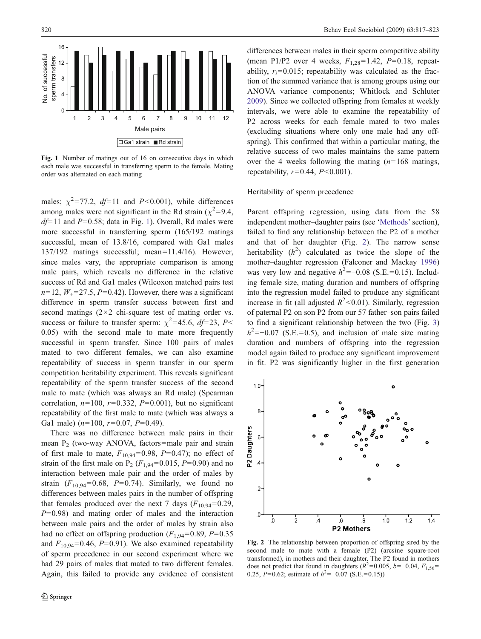

Fig. 1 Number of matings out of 16 on consecutive days in which each male was successful in transferring sperm to the female. Mating order was alternated on each mating

males;  $\chi^2$ =77.2, df=11 and P<0.001), while differences among males were not significant in the Rd strain ( $\chi^2$ =9.4,  $df=11$  and  $P=0.58$ ; data in Fig. 1). Overall, Rd males were more successful in transferring sperm (165/192 matings successful, mean of 13.8/16, compared with Ga1 males 137/192 matings successful; mean=11.4/16). However, since males vary, the appropriate comparison is among male pairs, which reveals no difference in the relative success of Rd and Ga1 males (Wilcoxon matched pairs test  $n=12$ ,  $W_{+}=27.5$ ,  $P=0.42$ ). However, there was a significant difference in sperm transfer success between first and second matings  $(2\times 2$  chi-square test of mating order vs. success or failure to transfer sperm:  $\chi^2$ =45.6, df=23, P< 0.05) with the second male to mate more frequently successful in sperm transfer. Since 100 pairs of males mated to two different females, we can also examine repeatability of success in sperm transfer in our sperm competition heritability experiment. This reveals significant repeatability of the sperm transfer success of the second male to mate (which was always an Rd male) (Spearman correlation,  $n=100$ ,  $r=0.332$ ,  $P=0.001$ ), but no significant repeatability of the first male to mate (which was always a Ga1 male)  $(n=100, r=0.07, P=0.49)$ .

There was no difference between male pairs in their mean  $P_2$  (two-way ANOVA, factors=male pair and strain of first male to mate,  $F_{10,94}=0.98$ ,  $P=0.47$ ); no effect of strain of the first male on  $P_2$  ( $F_{1,94}$ =0.015, P=0.90) and no interaction between male pair and the order of males by strain  $(F_{10,94}=0.68, P=0.74)$ . Similarly, we found no differences between males pairs in the number of offspring that females produced over the next 7 days  $(F_{10,94}=0.29,$  $P=0.98$ ) and mating order of males and the interaction between male pairs and the order of males by strain also had no effect on offspring production  $(F_{1,94}=0.89, P=0.35)$ and  $F_{10,94}$ =0.46, P=0.91). We also examined repeatability of sperm precedence in our second experiment where we had 29 pairs of males that mated to two different females. Again, this failed to provide any evidence of consistent

differences between males in their sperm competitive ability (mean P1/P2 over 4 weeks,  $F_{1,28}=1.42$ ,  $P=0.18$ , repeatability,  $r_i=0.015$ ; repeatability was calculated as the fraction of the summed variance that is among groups using our ANOVA variance components; Whitlock and Schluter [2009](#page-6-0)). Since we collected offspring from females at weekly intervals, we were able to examine the repeatability of P2 across weeks for each female mated to two males (excluding situations where only one male had any offspring). This confirmed that within a particular mating, the relative success of two males maintains the same pattern over the 4 weeks following the mating  $(n=168$  matings, repeatability,  $r=0.44$ ,  $P<0.001$ ).

# Heritability of sperm precedence

Parent offspring regression, using data from the 58 independent mother–daughter pairs (see '[Methods](#page-1-0)' section), failed to find any relationship between the P2 of a mother and that of her daughter (Fig. 2). The narrow sense heritability  $(h^2)$  calculated as twice the slope of the mother–daughter regression (Falconer and Mackay [1996](#page-6-0)) was very low and negative  $h^2 = -0.08$  (S.E.=0.15). Including female size, mating duration and numbers of offspring into the regression model failed to produce any significant increase in fit (all adjusted  $R^2$  < 0.01). Similarly, regression of paternal P2 on son P2 from our 57 father–son pairs failed to find a significant relationship between the two (Fig. [3](#page-4-0))  $h^2 = -0.07$  (S.E.=0.5), and inclusion of male size mating duration and numbers of offspring into the regression model again failed to produce any significant improvement in fit. P2 was significantly higher in the first generation



Fig. 2 The relationship between proportion of offspring sired by the second male to mate with a female (P2) (arcsine square-root transformed), in mothers and their daughter. The P2 found in mothers does not predict that found in daughters ( $R^2$ =0.005, b=−0.04,  $F_{1,56}$ = 0.25,  $P=0.62$ ; estimate of  $h^2 = -0.07$  (S.E.=0.15))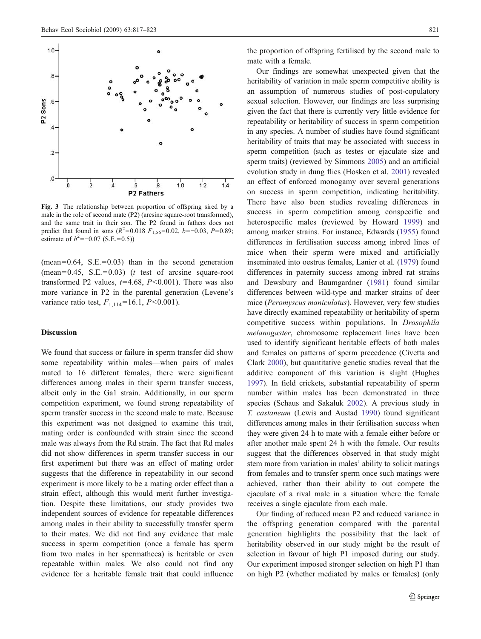<span id="page-4-0"></span>

Fig. 3 The relationship between proportion of offspring sired by a male in the role of second mate (P2) (arcsine square-root transformed), and the same trait in their son. The P2 found in fathers does not predict that found in sons  $(R^2=0.018 F_{1,56}=0.02, b=-0.03, P=0.89;$ estimate of  $h^2 = -0.07$  (S.E.=0.5))

 $(mean=0.64, S.E.=0.03)$  than in the second generation  $(mean=0.45, S.E.=0.03)$  (*t* test of arcsine square-root transformed P2 values,  $t=4.68$ ,  $P<0.001$ ). There was also more variance in P2 in the parental generation (Levene's variance ratio test,  $F_{1,114}$ =16.1,  $P$  < 0.001).

### Discussion

We found that success or failure in sperm transfer did show some repeatability within males—when pairs of males mated to 16 different females, there were significant differences among males in their sperm transfer success, albeit only in the Ga1 strain. Additionally, in our sperm competition experiment, we found strong repeatability of sperm transfer success in the second male to mate. Because this experiment was not designed to examine this trait, mating order is confounded with strain since the second male was always from the Rd strain. The fact that Rd males did not show differences in sperm transfer success in our first experiment but there was an effect of mating order suggests that the difference in repeatability in our second experiment is more likely to be a mating order effect than a strain effect, although this would merit further investigation. Despite these limitations, our study provides two independent sources of evidence for repeatable differences among males in their ability to successfully transfer sperm to their mates. We did not find any evidence that male success in sperm competition (once a female has sperm from two males in her spermatheca) is heritable or even repeatable within males. We also could not find any evidence for a heritable female trait that could influence

the proportion of offspring fertilised by the second male to mate with a female.

Our findings are somewhat unexpected given that the heritability of variation in male sperm competitive ability is an assumption of numerous studies of post-copulatory sexual selection. However, our findings are less surprising given the fact that there is currently very little evidence for repeatability or heritability of success in sperm competition in any species. A number of studies have found significant heritability of traits that may be associated with success in sperm competition (such as testes or ejaculate size and sperm traits) (reviewed by Simmons [2005](#page-6-0)) and an artificial evolution study in dung flies (Hosken et al. [2001\)](#page-6-0) revealed an effect of enforced monogamy over several generations on success in sperm competition, indicating heritability. There have also been studies revealing differences in success in sperm competition among conspecific and heterospecific males (reviewed by Howard [1999](#page-6-0)) and among marker strains. For instance, Edwards ([1955\)](#page-6-0) found differences in fertilisation success among inbred lines of mice when their sperm were mixed and artificially inseminated into oestrus females, Lanier et al. [\(1979](#page-6-0)) found differences in paternity success among inbred rat strains and Dewsbury and Baumgardner ([1981\)](#page-6-0) found similar differences between wild-type and marker strains of deer mice (Peromyscus maniculatus). However, very few studies have directly examined repeatability or heritability of sperm competitive success within populations. In Drosophila melanogaster, chromosome replacement lines have been used to identify significant heritable effects of both males and females on patterns of sperm precedence (Civetta and Clark [2000](#page-6-0)), but quantitative genetic studies reveal that the additive component of this variation is slight (Hughes [1997](#page-6-0)). In field crickets, substantial repeatability of sperm number within males has been demonstrated in three species (Schaus and Sakaluk [2002](#page-6-0)). A previous study in T. castaneum (Lewis and Austad [1990](#page-6-0)) found significant differences among males in their fertilisation success when they were given 24 h to mate with a female either before or after another male spent 24 h with the female. Our results suggest that the differences observed in that study might stem more from variation in males' ability to solicit matings from females and to transfer sperm once such matings were achieved, rather than their ability to out compete the ejaculate of a rival male in a situation where the female receives a single ejaculate from each male.

Our finding of reduced mean P2 and reduced variance in the offspring generation compared with the parental generation highlights the possibility that the lack of heritability observed in our study might be the result of selection in favour of high P1 imposed during our study. Our experiment imposed stronger selection on high P1 than on high P2 (whether mediated by males or females) (only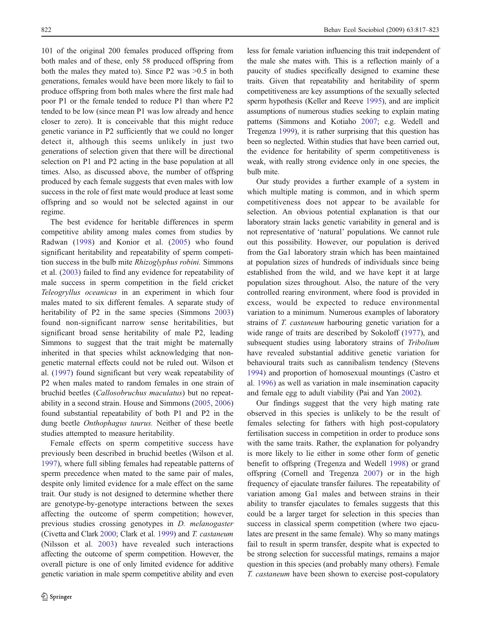101 of the original 200 females produced offspring from both males and of these, only 58 produced offspring from both the males they mated to). Since P2 was >0.5 in both generations, females would have been more likely to fail to produce offspring from both males where the first male had poor P1 or the female tended to reduce P1 than where P2 tended to be low (since mean P1 was low already and hence closer to zero). It is conceivable that this might reduce genetic variance in P2 sufficiently that we could no longer detect it, although this seems unlikely in just two generations of selection given that there will be directional selection on P1 and P2 acting in the base population at all times. Also, as discussed above, the number of offspring produced by each female suggests that even males with low success in the role of first mate would produce at least some offspring and so would not be selected against in our regime.

The best evidence for heritable differences in sperm competitive ability among males comes from studies by Radwan ([1998\)](#page-6-0) and Konior et al. ([2005](#page-6-0)) who found significant heritability and repeatability of sperm competition success in the bulb mite Rhizoglyphus robini. Simmons et al. [\(2003](#page-6-0)) failed to find any evidence for repeatability of male success in sperm competition in the field cricket Teleogryllus oceanicus in an experiment in which four males mated to six different females. A separate study of heritability of P2 in the same species (Simmons [2003\)](#page-6-0) found non-significant narrow sense heritabilities, but significant broad sense heritability of male P2, leading Simmons to suggest that the trait might be maternally inherited in that species whilst acknowledging that nongenetic maternal effects could not be ruled out. Wilson et al. [\(1997](#page-6-0)) found significant but very weak repeatability of P2 when males mated to random females in one strain of bruchid beetles (Callosobruchus maculatus) but no repeatability in a second strain. House and Simmons ([2005,](#page-6-0) [2006\)](#page-6-0) found substantial repeatability of both P1 and P2 in the dung beetle Onthophagus taurus. Neither of these beetle studies attempted to measure heritability.

Female effects on sperm competitive success have previously been described in bruchid beetles (Wilson et al. [1997\)](#page-6-0), where full sibling females had repeatable patterns of sperm precedence when mated to the same pair of males, despite only limited evidence for a male effect on the same trait. Our study is not designed to determine whether there are genotype-by-genotype interactions between the sexes affecting the outcome of sperm competition; however, previous studies crossing genotypes in D. melanogaster (Civetta and Clark [2000;](#page-6-0) Clark et al. [1999\)](#page-6-0) and T. castaneum (Nilsson et al. [2003\)](#page-6-0) have revealed such interactions affecting the outcome of sperm competition. However, the overall picture is one of only limited evidence for additive genetic variation in male sperm competitive ability and even

less for female variation influencing this trait independent of the male she mates with. This is a reflection mainly of a paucity of studies specifically designed to examine these traits. Given that repeatability and heritability of sperm competitiveness are key assumptions of the sexually selected sperm hypothesis (Keller and Reeve [1995\)](#page-6-0), and are implicit assumptions of numerous studies seeking to explain mating patterns (Simmons and Kotiaho [2007](#page-6-0); e.g. Wedell and Tregenza [1999\)](#page-6-0), it is rather surprising that this question has been so neglected. Within studies that have been carried out, the evidence for heritability of sperm competitiveness is weak, with really strong evidence only in one species, the bulb mite.

Our study provides a further example of a system in which multiple mating is common, and in which sperm competitiveness does not appear to be available for selection. An obvious potential explanation is that our laboratory strain lacks genetic variability in general and is not representative of 'natural' populations. We cannot rule out this possibility. However, our population is derived from the Ga1 laboratory strain which has been maintained at population sizes of hundreds of individuals since being established from the wild, and we have kept it at large population sizes throughout. Also, the nature of the very controlled rearing environment, where food is provided in excess, would be expected to reduce environmental variation to a minimum. Numerous examples of laboratory strains of T. castaneum harbouring genetic variation for a wide range of traits are described by Sokoloff ([1977\)](#page-6-0), and subsequent studies using laboratory strains of Tribolium have revealed substantial additive genetic variation for behavioural traits such as cannibalism tendency (Stevens [1994](#page-6-0)) and proportion of homosexual mountings (Castro et al. [1996\)](#page-6-0) as well as variation in male insemination capacity and female egg to adult viability (Pai and Yan [2002](#page-6-0)).

Our findings suggest that the very high mating rate observed in this species is unlikely to be the result of females selecting for fathers with high post-copulatory fertilisation success in competition in order to produce sons with the same traits. Rather, the explanation for polyandry is more likely to lie either in some other form of genetic benefit to offspring (Tregenza and Wedell [1998\)](#page-6-0) or grand offspring (Cornell and Tregenza [2007\)](#page-6-0) or in the high frequency of ejaculate transfer failures. The repeatability of variation among Ga1 males and between strains in their ability to transfer ejaculates to females suggests that this could be a larger target for selection in this species than success in classical sperm competition (where two ejaculates are present in the same female). Why so many matings fail to result in sperm transfer, despite what is expected to be strong selection for successful matings, remains a major question in this species (and probably many others). Female T. castaneum have been shown to exercise post-copulatory